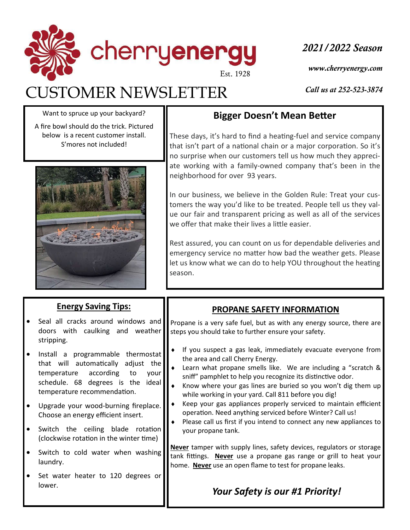

# CUSTOMER NEWSLETTER

*2021/2022 Season*

*www.cherryenergy.com*

*Call us at 252-523-3874*

Want to spruce up your backyard?

A fire bowl should do the trick. Pictured below is a recent customer install. S'mores not included!



#### **Energy Saving Tips:**

- Seal all cracks around windows and doors with caulking and weather stripping.
- Install a programmable thermostat that will automatically adjust the temperature according to your schedule. 68 degrees is the ideal temperature recommendation.
- Upgrade your wood-burning fireplace. Choose an energy efficient insert.
- Switch the ceiling blade rotation (clockwise rotation in the winter time)
- Switch to cold water when washing laundry.
- Set water heater to 120 degrees or lower.

## **Bigger Doesn't Mean Better**

These days, it's hard to find a heating-fuel and service company that isn't part of a national chain or a major corporation. So it's no surprise when our customers tell us how much they appreciate working with a family-owned company that's been in the neighborhood for over 93 years.

In our business, we believe in the Golden Rule: Treat your customers the way you'd like to be treated. People tell us they value our fair and transparent pricing as well as all of the services we offer that make their lives a little easier.

Rest assured, you can count on us for dependable deliveries and emergency service no matter how bad the weather gets. Please let us know what we can do to help YOU throughout the heating season.

### **PROPANE SAFETY INFORMATION**

Propane is a very safe fuel, but as with any energy source, there are steps you should take to further ensure your safety.

- If you suspect a gas leak, immediately evacuate everyone from the area and call Cherry Energy.
- Learn what propane smells like. We are including a "scratch & sniff" pamphlet to help you recognize its distinctive odor.
- Know where your gas lines are buried so you won't dig them up while working in your yard. Call 811 before you dig!
- Keep your gas appliances properly serviced to maintain efficient operation. Need anything serviced before Winter? Call us!
- Please call us first if you intend to connect any new appliances to your propane tank.

**Never** tamper with supply lines, safety devices, regulators or storage tank fittings. Never use a propane gas range or grill to heat your home. **Never** use an open flame to test for propane leaks.

## *Your Safety is our #1 Priority!*